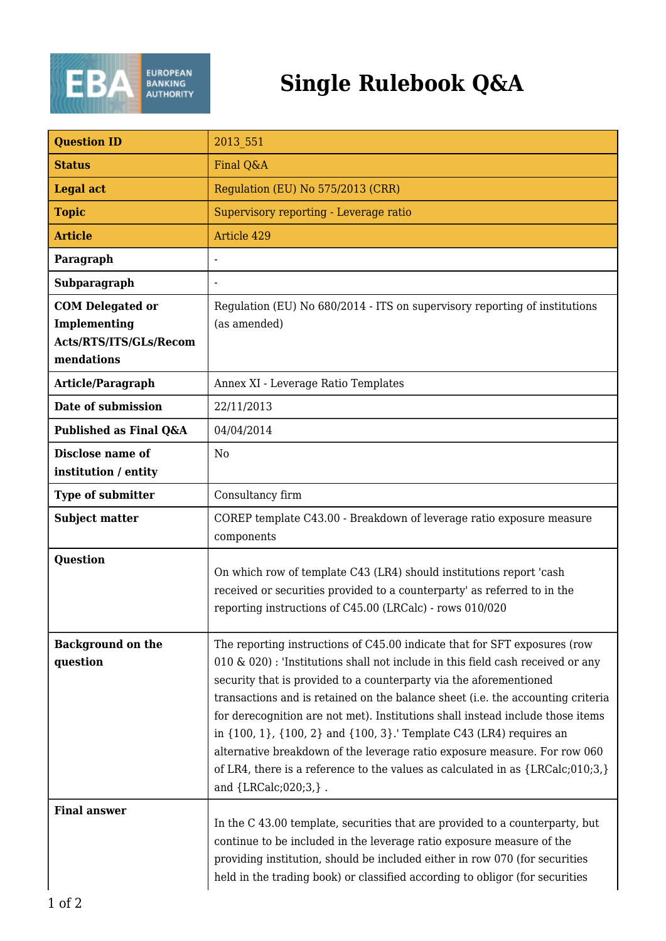

## **Single Rulebook Q&A**

| <b>Question ID</b>                                                              | 2013 551                                                                                                                                                                                                                                                                                                                                                                                                                                                                                                                                                                                                                                                                      |
|---------------------------------------------------------------------------------|-------------------------------------------------------------------------------------------------------------------------------------------------------------------------------------------------------------------------------------------------------------------------------------------------------------------------------------------------------------------------------------------------------------------------------------------------------------------------------------------------------------------------------------------------------------------------------------------------------------------------------------------------------------------------------|
| <b>Status</b>                                                                   | Final Q&A                                                                                                                                                                                                                                                                                                                                                                                                                                                                                                                                                                                                                                                                     |
| <b>Legal act</b>                                                                | Regulation (EU) No 575/2013 (CRR)                                                                                                                                                                                                                                                                                                                                                                                                                                                                                                                                                                                                                                             |
| <b>Topic</b>                                                                    | Supervisory reporting - Leverage ratio                                                                                                                                                                                                                                                                                                                                                                                                                                                                                                                                                                                                                                        |
| <b>Article</b>                                                                  | Article 429                                                                                                                                                                                                                                                                                                                                                                                                                                                                                                                                                                                                                                                                   |
| Paragraph                                                                       |                                                                                                                                                                                                                                                                                                                                                                                                                                                                                                                                                                                                                                                                               |
| Subparagraph                                                                    |                                                                                                                                                                                                                                                                                                                                                                                                                                                                                                                                                                                                                                                                               |
| <b>COM Delegated or</b><br>Implementing<br>Acts/RTS/ITS/GLs/Recom<br>mendations | Regulation (EU) No 680/2014 - ITS on supervisory reporting of institutions<br>(as amended)                                                                                                                                                                                                                                                                                                                                                                                                                                                                                                                                                                                    |
| Article/Paragraph                                                               | Annex XI - Leverage Ratio Templates                                                                                                                                                                                                                                                                                                                                                                                                                                                                                                                                                                                                                                           |
| Date of submission                                                              | 22/11/2013                                                                                                                                                                                                                                                                                                                                                                                                                                                                                                                                                                                                                                                                    |
| Published as Final Q&A                                                          | 04/04/2014                                                                                                                                                                                                                                                                                                                                                                                                                                                                                                                                                                                                                                                                    |
| Disclose name of<br>institution / entity                                        | N <sub>0</sub>                                                                                                                                                                                                                                                                                                                                                                                                                                                                                                                                                                                                                                                                |
| <b>Type of submitter</b>                                                        | Consultancy firm                                                                                                                                                                                                                                                                                                                                                                                                                                                                                                                                                                                                                                                              |
| <b>Subject matter</b>                                                           | COREP template C43.00 - Breakdown of leverage ratio exposure measure<br>components                                                                                                                                                                                                                                                                                                                                                                                                                                                                                                                                                                                            |
| Question                                                                        | On which row of template C43 (LR4) should institutions report 'cash<br>received or securities provided to a counterparty' as referred to in the<br>reporting instructions of C45.00 (LRCalc) - rows 010/020                                                                                                                                                                                                                                                                                                                                                                                                                                                                   |
| <b>Background on the</b><br>question                                            | The reporting instructions of C45.00 indicate that for SFT exposures (row<br>010 & 020): 'Institutions shall not include in this field cash received or any<br>security that is provided to a counterparty via the aforementioned<br>transactions and is retained on the balance sheet (i.e. the accounting criteria<br>for derecognition are not met). Institutions shall instead include those items<br>in {100, 1}, {100, 2} and {100, 3}. Template C43 (LR4) requires an<br>alternative breakdown of the leverage ratio exposure measure. For row 060<br>of LR4, there is a reference to the values as calculated in as $\{LRCalc; 010; 3, \}$<br>and {LRCalc; 020; 3, }. |
| <b>Final answer</b>                                                             | In the C 43.00 template, securities that are provided to a counterparty, but<br>continue to be included in the leverage ratio exposure measure of the<br>providing institution, should be included either in row 070 (for securities<br>held in the trading book) or classified according to obligor (for securities                                                                                                                                                                                                                                                                                                                                                          |